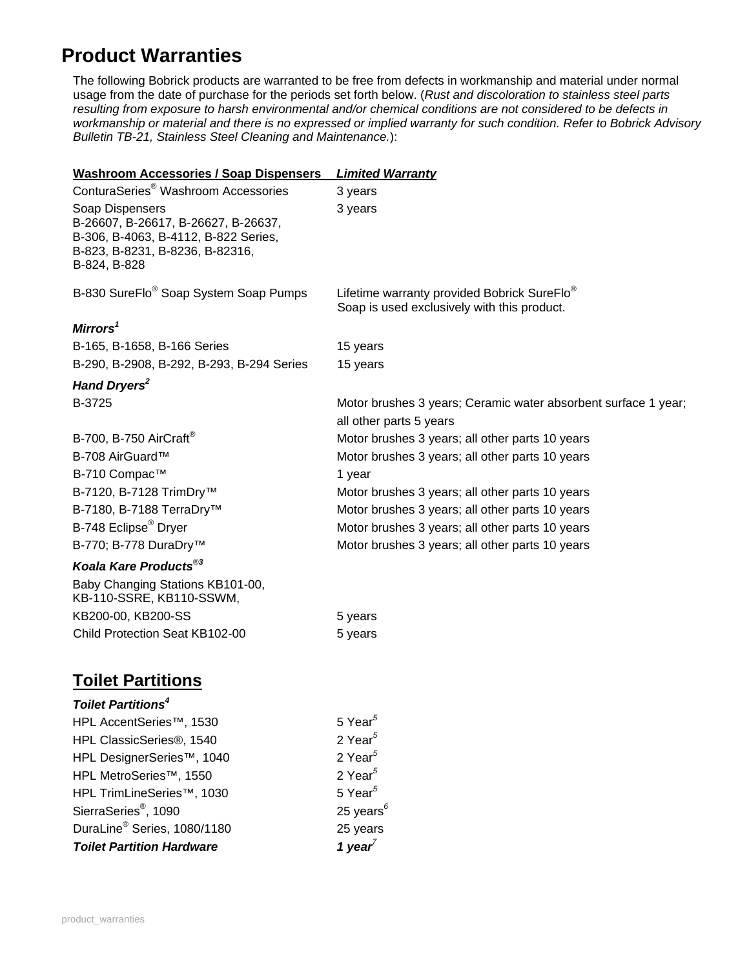## **Product Warranties**

The following Bobrick products are warranted to be free from defects in workmanship and material under normal usage from the date of purchase for the periods set forth below. (*Rust and discoloration to stainless steel parts resulting from exposure to harsh environmental and/or chemical conditions are not considered to be defects in workmanship or material and there is no expressed or implied warranty for such condition. Refer to Bobrick Advisory Bulletin TB-21, Stainless Steel Cleaning and Maintenance.*):

| <b>Washroom Accessories / Soap Dispensers</b>                                                                                                     | <b>Limited Warranty</b>                                                                                |
|---------------------------------------------------------------------------------------------------------------------------------------------------|--------------------------------------------------------------------------------------------------------|
| ConturaSeries <sup>®</sup> Washroom Accessories                                                                                                   | 3 years                                                                                                |
| Soap Dispensers<br>B-26607, B-26617, B-26627, B-26637,<br>B-306, B-4063, B-4112, B-822 Series,<br>B-823, B-8231, B-8236, B-82316,<br>B-824, B-828 | 3 years                                                                                                |
| B-830 SureFlo <sup>®</sup> Soap System Soap Pumps                                                                                                 | Lifetime warranty provided Bobrick SureFlo <sup>®</sup><br>Soap is used exclusively with this product. |
| Mirrors $\mathrm{^1}$                                                                                                                             |                                                                                                        |
| B-165, B-1658, B-166 Series                                                                                                                       | 15 years                                                                                               |
| B-290, B-2908, B-292, B-293, B-294 Series                                                                                                         | 15 years                                                                                               |
| Hand Dryers <sup>2</sup>                                                                                                                          |                                                                                                        |
| B-3725                                                                                                                                            | Motor brushes 3 years; Ceramic water absorbent surface 1 year;                                         |
|                                                                                                                                                   | all other parts 5 years                                                                                |
| B-700, B-750 AirCraft®                                                                                                                            | Motor brushes 3 years; all other parts 10 years                                                        |
| B-708 AirGuard™                                                                                                                                   | Motor brushes 3 years; all other parts 10 years                                                        |
| B-710 Compac™                                                                                                                                     | 1 year                                                                                                 |
| B-7120, B-7128 TrimDry <sup>™</sup>                                                                                                               | Motor brushes 3 years; all other parts 10 years                                                        |
| B-7180, B-7188 TerraDry <sup>™</sup>                                                                                                              | Motor brushes 3 years; all other parts 10 years                                                        |
| B-748 Eclipse® Dryer                                                                                                                              | Motor brushes 3 years; all other parts 10 years                                                        |
| B-770; B-778 DuraDry™                                                                                                                             | Motor brushes 3 years; all other parts 10 years                                                        |
| Koala Kare Products® <sup>3</sup>                                                                                                                 |                                                                                                        |
| Baby Changing Stations KB101-00,<br>KB-110-SSRE, KB110-SSWM,                                                                                      |                                                                                                        |
| KB200-00, KB200-SS                                                                                                                                | 5 years                                                                                                |
| Child Protection Seat KB102-00                                                                                                                    | 5 years                                                                                                |
| <b>Toilet Partitions</b>                                                                                                                          |                                                                                                        |

## *Toilet Partitions<sup>4</sup>*

| <b>Toilet Partition Hardware</b>        | 1 year <sup>7</sup>   |
|-----------------------------------------|-----------------------|
| DuraLine <sup>®</sup> Series, 1080/1180 | 25 years              |
| SierraSeries®, 1090                     | 25 years $^6$         |
| HPL TrimLineSeries™, 1030               | $5$ Year <sup>5</sup> |
| HPL MetroSeries™, 1550                  | 2 Year $5$            |
| HPL DesignerSeries™, 1040               | 2 Year $5$            |
| HPL ClassicSeries®, 1540                | 2 Year $5$            |
| HPL AccentSeries™, 1530                 | 5 Year <sup>5</sup>   |